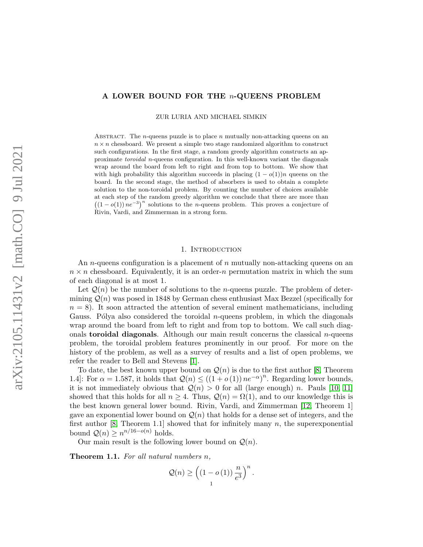# A LOWER BOUND FOR THE n-QUEENS PROBLEM

ZUR LURIA AND MICHAEL SIMKIN

ABSTRACT. The *n*-queens puzzle is to place *n* mutually non-attacking queens on an  $n \times n$  chessboard. We present a simple two stage randomized algorithm to construct such configurations. In the first stage, a random greedy algorithm constructs an approximate toroidal n-queens configuration. In this well-known variant the diagonals wrap around the board from left to right and from top to bottom. We show that with high probability this algorithm succeeds in placing  $(1 - o(1))n$  queens on the board. In the second stage, the method of absorbers is used to obtain a complete solution to the non-toroidal problem. By counting the number of choices available at each step of the random greedy algorithm we conclude that there are more than  $((1 - o(1))\,n^{-3})^n$  solutions to the n-queens problem. This proves a conjecture of Rivin, Vardi, and Zimmerman in a strong form.

#### 1. INTRODUCTION

An *n*-queens configuration is a placement of *n* mutually non-attacking queens on an  $n \times n$  chessboard. Equivalently, it is an order-n permutation matrix in which the sum of each diagonal is at most 1.

Let  $\mathcal{Q}(n)$  be the number of solutions to the *n*-queens puzzle. The problem of determining  $\mathcal{Q}(n)$  was posed in 1848 by German chess enthusiast Max Bezzel (specifically for  $n = 8$ ). It soon attracted the attention of several eminent mathematicians, including Gauss. Pólya also considered the toroidal  $n$ -queens problem, in which the diagonals wrap around the board from left to right and from top to bottom. We call such diagonals **toroidal diagonals**. Although our main result concerns the classical  $n$ -queens problem, the toroidal problem features prominently in our proof. For more on the history of the problem, as well as a survey of results and a list of open problems, we refer the reader to Bell and Stevens [\[1\]](#page-15-0).

To date, the best known upper bound on  $\mathcal{Q}(n)$  is due to the first author [\[8,](#page-15-1) Theorem 1.4. For  $\alpha = 1.587$ , it holds that  $\mathcal{Q}(n) \leq ((1 + o(1)) n e^{-\alpha})^n$ . Regarding lower bounds, it is not immediately obvious that  $Q(n) > 0$  for all (large enough) n. Pauls [\[10,](#page-15-2) [11\]](#page-15-3) showed that this holds for all  $n \geq 4$ . Thus,  $\mathcal{Q}(n) = \Omega(1)$ , and to our knowledge this is the best known general lower bound. Rivin, Vardi, and Zimmerman [\[12,](#page-15-4) Theorem 1] gave an exponential lower bound on  $\mathcal{Q}(n)$  that holds for a dense set of integers, and the first author  $[8,$  Theorem 1.1 showed that for infinitely many n, the superexponential bound  $Q(n) \geq n^{n/16 - o(n)}$  holds.

Our main result is the following lower bound on  $\mathcal{Q}(n)$ .

<span id="page-0-0"></span>Theorem 1.1. For all natural numbers n,

$$
\mathcal{Q}(n) \ge \left((1 - o(1))\frac{n}{e^3}\right)^n.
$$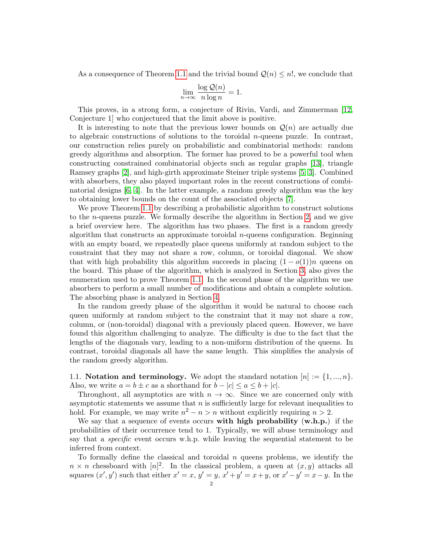As a consequence of Theorem [1.1](#page-0-0) and the trivial bound  $\mathcal{Q}(n) \leq n!$ , we conclude that

$$
\lim_{n \to \infty} \frac{\log Q(n)}{n \log n} = 1.
$$

This proves, in a strong form, a conjecture of Rivin, Vardi, and Zimmerman [\[12,](#page-15-4) Conjecture 1] who conjectured that the limit above is positive.

It is interesting to note that the previous lower bounds on  $\mathcal{Q}(n)$  are actually due to algebraic constructions of solutions to the toroidal *n*-queens puzzle. In contrast, our construction relies purely on probabilistic and combinatorial methods: random greedy algorithms and absorption. The former has proved to be a powerful tool when constructing constrained combinatorial objects such as regular graphs [\[13\]](#page-15-5), triangle Ramsey graphs [\[2\]](#page-15-6), and high-girth approximate Steiner triple systems [\[5,](#page-15-7) [3\]](#page-15-8). Combined with absorbers, they also played important roles in the recent constructions of combinatorial designs [\[6,](#page-15-9) [4\]](#page-15-10). In the latter example, a random greedy algorithm was the key to obtaining lower bounds on the count of the associated objects [\[7\]](#page-15-11).

We prove Theorem [1.1](#page-0-0) by describing a probabilistic algorithm to construct solutions to the n-queens puzzle. We formally describe the algorithm in Section [2,](#page-2-0) and we give a brief overview here. The algorithm has two phases. The first is a random greedy algorithm that constructs an approximate toroidal  $n$ -queens configuration. Beginning with an empty board, we repeatedly place queens uniformly at random subject to the constraint that they may not share a row, column, or toroidal diagonal. We show that with high probability this algorithm succeeds in placing  $(1 - o(1))n$  queens on the board. This phase of the algorithm, which is analyzed in Section [3,](#page-3-0) also gives the enumeration used to prove Theorem [1.1.](#page-0-0) In the second phase of the algorithm we use absorbers to perform a small number of modifications and obtain a complete solution. The absorbing phase is analyzed in Section [4.](#page-6-0)

In the random greedy phase of the algorithm it would be natural to choose each queen uniformly at random subject to the constraint that it may not share a row, column, or (non-toroidal) diagonal with a previously placed queen. However, we have found this algorithm challenging to analyze. The difficulty is due to the fact that the lengths of the diagonals vary, leading to a non-uniform distribution of the queens. In contrast, toroidal diagonals all have the same length. This simplifies the analysis of the random greedy algorithm.

1.1. Notation and terminology. We adopt the standard notation  $[n] := \{1, ..., n\}$ . Also, we write  $a = b \pm c$  as a shorthand for  $b - |c| \le a \le b + |c|$ .

Throughout, all asymptotics are with  $n \to \infty$ . Since we are concerned only with asymptotic statements we assume that  $n$  is sufficiently large for relevant inequalities to hold. For example, we may write  $n^2 - n > n$  without explicitly requiring  $n > 2$ .

We say that a sequence of events occurs with high probability  $(w.h.p.)$  if the probabilities of their occurrence tend to 1. Typically, we will abuse terminology and say that a specific event occurs w.h.p. while leaving the sequential statement to be inferred from context.

To formally define the classical and toroidal  $n$  queens problems, we identify the  $n \times n$  chessboard with  $[n]^2$ . In the classical problem, a queen at  $(x, y)$  attacks all squares  $(x', y')$  such that either  $x' = x$ ,  $y' = y$ ,  $x' + y' = x + y$ , or  $x' - y' = x - y$ . In the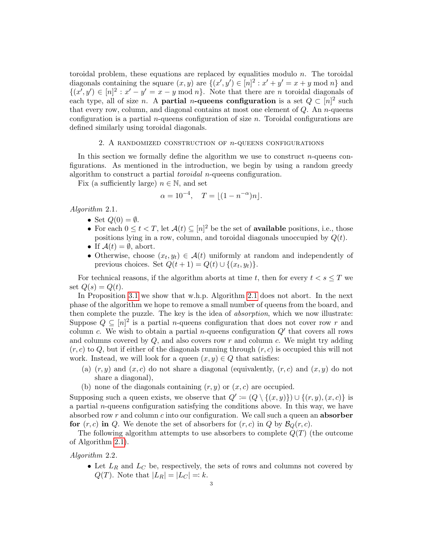toroidal problem, these equations are replaced by equalities modulo  $n$ . The toroidal diagonals containing the square  $(x, y)$  are  $\{(x', y') \in [n]^2 : x' + y' = x + y \mod n\}$  and  $\{(x', y') \in [n]^2 : x' - y' = x - y \mod n\}$ . Note that there are n toroidal diagonals of each type, all of size *n*. A **partial** *n*-queens configuration is a set  $Q \subset [n]^2$  such that every row, column, and diagonal contains at most one element of  $Q$ . An n-queens configuration is a partial *n*-queens configuration of size *n*. Toroidal configurations are defined similarly using toroidal diagonals.

#### 2. A RANDOMIZED CONSTRUCTION OF  $n$ -QUEENS CONFIGURATIONS

<span id="page-2-0"></span>In this section we formally define the algorithm we use to construct  $n$ -queens configurations. As mentioned in the introduction, we begin by using a random greedy algorithm to construct a partial toroidal n-queens configuration.

Fix (a sufficiently large)  $n \in \mathbb{N}$ , and set

$$
\alpha = 10^{-4}, \quad T = \lfloor (1 - n^{-\alpha})n \rfloor.
$$

<span id="page-2-1"></span>Algorithm 2.1.

- Set  $Q(0) = \emptyset$ .
- For each  $0 \le t < T$ , let  $\mathcal{A}(t) \subseteq [n]^2$  be the set of **available** positions, i.e., those positions lying in a row, column, and toroidal diagonals unoccupied by  $Q(t)$ .
- If  $\mathcal{A}(t) = \emptyset$ , abort.
- Otherwise, choose  $(x_t, y_t) \in \mathcal{A}(t)$  uniformly at random and independently of previous choices. Set  $Q(t + 1) = Q(t) \cup \{(x_t, y_t)\}.$

For technical reasons, if the algorithm aborts at time t, then for every  $t < s \leq T$  we set  $Q(s) = Q(t)$ .

In Proposition [3.1](#page-3-1) we show that w.h.p. Algorithm [2.1](#page-2-1) does not abort. In the next phase of the algorithm we hope to remove a small number of queens from the board, and then complete the puzzle. The key is the idea of absorption, which we now illustrate: Suppose  $Q \subseteq [n]^2$  is a partial *n*-queens configuration that does not cover row r and column c. We wish to obtain a partial *n*-queens configuration  $Q'$  that covers all rows and columns covered by  $Q$ , and also covers row r and column c. We might try adding  $(r, c)$  to Q, but if either of the diagonals running through  $(r, c)$  is occupied this will not work. Instead, we will look for a queen  $(x, y) \in Q$  that satisfies:

- (a)  $(r, y)$  and  $(x, c)$  do not share a diagonal (equivalently,  $(r, c)$  and  $(x, y)$  do not share a diagonal),
- (b) none of the diagonals containing  $(r, y)$  or  $(x, c)$  are occupied.

Supposing such a queen exists, we observe that  $Q' := (Q \setminus \{(x, y)\}) \cup \{(r, y), (x, c)\}\$ is a partial  $n$ -queens configuration satisfying the conditions above. In this way, we have absorbed row  $r$  and column  $c$  into our configuration. We call such a queen an **absorber** for  $(r, c)$  in Q. We denote the set of absorbers for  $(r, c)$  in Q by  $\mathcal{B}_Q(r, c)$ .

The following algorithm attempts to use absorbers to complete  $Q(T)$  (the outcome of Algorithm [2.1\)](#page-2-1).

# <span id="page-2-2"></span>Algorithm 2.2.

• Let  $L_R$  and  $L_C$  be, respectively, the sets of rows and columns not covered by  $Q(T)$ . Note that  $|L_R| = |L_C| = k$ .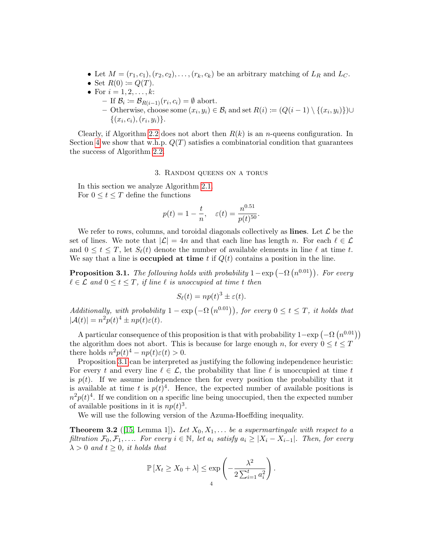- Let  $M = (r_1, c_1), (r_2, c_2), \ldots, (r_k, c_k)$  be an arbitrary matching of  $L_R$  and  $L_C$ .
- Set  $R(0) \coloneqq Q(T)$ .
- For  $i = 1, 2, ..., k$ :
	- $-$  If  $\mathcal{B}_i \coloneqq \mathcal{B}_{R(i-1)}(r_i, c_i) = \emptyset$  abort.
	- Otherwise, choose some  $(x_i, y_i) \in \mathcal{B}_i$  and set  $R(i) \coloneqq (Q(i-1) \setminus \{(x_i, y_i)\}) \cup$  $\{(x_i, c_i), (r_i, y_i)\}.$

Clearly, if Algorithm [2.2](#page-2-2) does not abort then  $R(k)$  is an *n*-queens configuration. In Section [4](#page-6-0) we show that w.h.p.  $Q(T)$  satisfies a combinatorial condition that guarantees the success of Algorithm [2.2.](#page-2-2)

## 3. Random queens on a torus

<span id="page-3-0"></span>In this section we analyze Algorithm [2.1.](#page-2-1) For  $0 \le t \le T$  define the functions

$$
p(t) = 1 - \frac{t}{n}, \quad \varepsilon(t) = \frac{n^{0.51}}{p(t)^{50}}.
$$

We refer to rows, columns, and toroidal diagonals collectively as lines. Let  $\mathcal L$  be the set of lines. We note that  $|\mathcal{L}| = 4n$  and that each line has length n. For each  $\ell \in \mathcal{L}$ and  $0 \le t \le T$ , let  $S_{\ell}(t)$  denote the number of available elements in line  $\ell$  at time t. We say that a line is **occupied at time** t if  $Q(t)$  contains a position in the line.

<span id="page-3-1"></span>**Proposition 3.1.** The following holds with probability  $1 - \exp(-\Omega(n^{0.01}))$ . For every  $\ell \in \mathcal{L}$  and  $0 \leq t \leq T$ , if line  $\ell$  is unoccupied at time t then

$$
S_{\ell}(t) = np(t)^{3} \pm \varepsilon(t).
$$

Additionally, with probability  $1 - \exp(-\Omega(n^{0.01}))$ , for every  $0 \le t \le T$ , it holds that  $|\mathcal{A}(t)| = n^2 p(t)^4 \pm np(t)\varepsilon(t).$ 

A particular consequence of this proposition is that with probability  $1-\exp(-\Omega(n^{0.01}))$ the algorithm does not abort. This is because for large enough n, for every  $0 \le t \le T$ there holds  $n^2p(t)^4 - np(t)\varepsilon(t) > 0$ .

Proposition [3.1](#page-3-1) can be interpreted as justifying the following independence heuristic: For every t and every line  $\ell \in \mathcal{L}$ , the probability that line  $\ell$  is unoccupied at time t is  $p(t)$ . If we assume independence then for every position the probability that it is available at time t is  $p(t)^4$ . Hence, the expected number of available positions is  $n^2p(t)^4$ . If we condition on a specific line being unoccupied, then the expected number of available positions in it is  $np(t)^3$ .

We will use the following version of the Azuma-Hoeffding inequality.

<span id="page-3-2"></span>**Theorem 3.2** ([\[15,](#page-15-12) Lemma 1]). Let  $X_0, X_1, \ldots$  be a supermartingale with respect to a filtration  $\mathcal{F}_0, \mathcal{F}_1, \ldots$  For every  $i \in \mathbb{N}$ , let  $a_i$  satisfy  $a_i \geq |X_i - X_{i-1}|$ . Then, for every  $\lambda > 0$  and  $t \geq 0$ , it holds that

$$
\mathbb{P}\left[X_t \ge X_0 + \lambda\right] \le \exp\left(-\frac{\lambda^2}{2\sum_{i=1}^t a_i^2}\right).
$$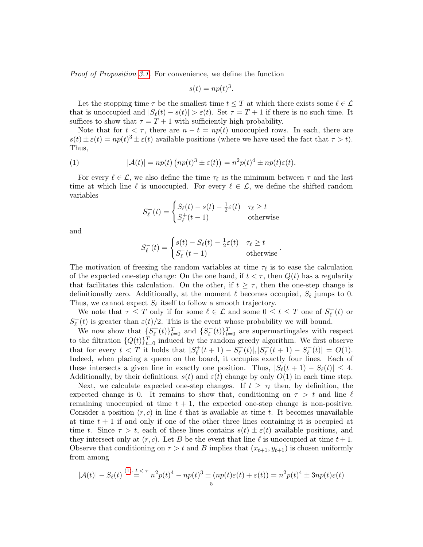Proof of Proposition [3.1.](#page-3-1) For convenience, we define the function

$$
s(t) = np(t)^3.
$$

Let the stopping time  $\tau$  be the smallest time  $t \leq T$  at which there exists some  $\ell \in \mathcal{L}$ that is unoccupied and  $|S_{\ell}(t) - s(t)| > \varepsilon(t)$ . Set  $\tau = T + 1$  if there is no such time. It suffices to show that  $\tau = T + 1$  with sufficiently high probability.

Note that for  $t < \tau$ , there are  $n - t = np(t)$  unoccupied rows. In each, there are  $s(t) \pm \varepsilon(t) = np(t)^3 \pm \varepsilon(t)$  available positions (where we have used the fact that  $\tau > t$ ). Thus,

(1) 
$$
|\mathcal{A}(t)| = np(t) (np(t)^3 \pm \varepsilon(t)) = n^2 p(t)^4 \pm np(t)\varepsilon(t).
$$

For every  $\ell \in \mathcal{L}$ , we also define the time  $\tau_{\ell}$  as the minimum between  $\tau$  and the last time at which line  $\ell$  is unoccupied. For every  $\ell \in \mathcal{L}$ , we define the shifted random variables

<span id="page-4-0"></span>
$$
S_{\ell}^{+}(t) = \begin{cases} S_{\ell}(t) - s(t) - \frac{1}{2}\varepsilon(t) & \tau_{\ell} \ge t \\ S_{\ell}^{+}(t-1) & \text{otherwise} \end{cases}
$$

and

$$
S_{\ell}^{-}(t) = \begin{cases} s(t) - S_{\ell}(t) - \frac{1}{2}\varepsilon(t) & \tau_{\ell} \ge t \\ S_{\ell}^{-}(t-1) & \text{otherwise} \end{cases}.
$$

The motivation of freezing the random variables at time  $\tau_{\ell}$  is to ease the calculation of the expected one-step change: On the one hand, if  $t < \tau$ , then  $Q(t)$  has a regularity that facilitates this calculation. On the other, if  $t \geq \tau$ , then the one-step change is definitionally zero. Additionally, at the moment  $\ell$  becomes occupied,  $S_{\ell}$  jumps to 0. Thus, we cannot expect  $S_{\ell}$  itself to follow a smooth trajectory.

We note that  $\tau \leq T$  only if for some  $\ell \in \mathcal{L}$  and some  $0 \leq t \leq T$  one of  $S_{\ell}^+$  $\int_{\ell}^{+}(t)$  or  $S_{\ell}^{-}$  $\epsilon(\epsilon)(t)$  is greater than  $\varepsilon(t)/2$ . This is the event whose probability we will bound.

We now show that  $\{S^+_\ell\}$  $\{(\mathbf{t})\}_{t=0}^T$  and  $\{S_{\ell}^{-}\}$  $\mathcal{L}^{-}_{\ell}(t) \}_{t=0}^{T}$  are supermartingales with respect to the filtration  $\{Q(t)\}_{t=0}^T$  induced by the random greedy algorithm. We first observe that for every  $t < T$  it holds that  $|S_{\ell}^+|$  $g_{\ell}^{+}(t+1) - S_{\ell}^{+}$  $\binom{+}{\ell}(t), |S_{\ell}^{-}$  $\int_{\ell}^{-}(t+1) - S_{\ell}^{-}$  $\vert_{\ell}^{-}(t)\vert = O(1).$ Indeed, when placing a queen on the board, it occupies exactly four lines. Each of these intersects a given line in exactly one position. Thus,  $|S_{\ell}(t + 1) - S_{\ell}(t)| \leq 4$ . Additionally, by their definitions,  $s(t)$  and  $\varepsilon(t)$  change by only  $O(1)$  in each time step.

Next, we calculate expected one-step changes. If  $t \geq \tau_{\ell}$  then, by definition, the expected change is 0. It remains to show that, conditioning on  $\tau > t$  and line  $\ell$ remaining unoccupied at time  $t + 1$ , the expected one-step change is non-positive. Consider a position  $(r, c)$  in line  $\ell$  that is available at time t. It becomes unavailable at time  $t + 1$  if and only if one of the other three lines containing it is occupied at time t. Since  $\tau > t$ , each of these lines contains  $s(t) \pm \varepsilon(t)$  available positions, and they intersect only at  $(r, c)$ . Let B be the event that line  $\ell$  is unoccupied at time  $t + 1$ . Observe that conditioning on  $\tau > t$  and B implies that  $(x_{t+1}, y_{t+1})$  is chosen uniformly from among

$$
|\mathcal{A}(t)| - S_{\ell}(t) \stackrel{(1), \, t \, \le \, \tau}{=} n^2 p(t)^4 - np(t)^3 \pm (np(t)\varepsilon(t) + \varepsilon(t)) = n^2 p(t)^4 \pm 3np(t)\varepsilon(t)
$$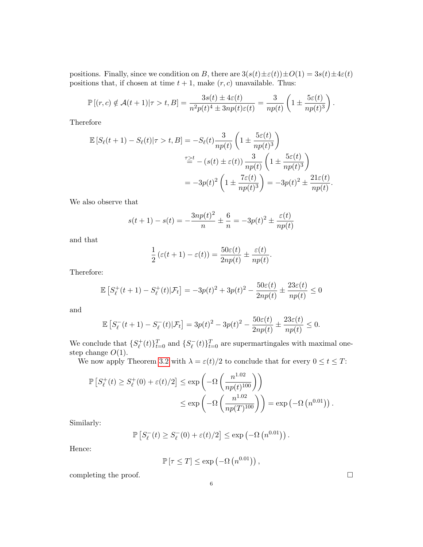positions. Finally, since we condition on B, there are  $3(s(t)\pm\varepsilon(t))\pm O(1)=3s(t)\pm4\varepsilon(t)$ positions that, if chosen at time  $t + 1$ , make  $(r, c)$  unavailable. Thus:

$$
\mathbb{P}[(r,c) \notin \mathcal{A}(t+1)|\tau > t, B] = \frac{3s(t) \pm 4\varepsilon(t)}{n^2 p(t)^4 \pm 3np(t)\varepsilon(t)} = \frac{3}{np(t)} \left(1 \pm \frac{5\varepsilon(t)}{np(t)^3}\right).
$$

Therefore

$$
\mathbb{E}\left[S_{\ell}(t+1) - S_{\ell}(t)|\tau > t, B\right] = -S_{\ell}(t)\frac{3}{np(t)}\left(1 \pm \frac{5\varepsilon(t)}{np(t)^3}\right)
$$
\n
$$
\stackrel{\tau \geq t}{=} -\left(s(t) \pm \varepsilon(t)\right)\frac{3}{np(t)}\left(1 \pm \frac{5\varepsilon(t)}{np(t)^3}\right)
$$
\n
$$
= -3p(t)^2\left(1 \pm \frac{7\varepsilon(t)}{np(t)^3}\right) = -3p(t)^2 \pm \frac{21\varepsilon(t)}{np(t)}.
$$

We also observe that

$$
s(t+1) - s(t) = -\frac{3np(t)^2}{n} \pm \frac{6}{n} = -3p(t)^2 \pm \frac{\varepsilon(t)}{np(t)}
$$

and that

$$
\frac{1}{2}(\varepsilon(t+1) - \varepsilon(t)) = \frac{50\varepsilon(t)}{2np(t)} \pm \frac{\varepsilon(t)}{np(t)}.
$$

Therefore:

$$
\mathbb{E}\left[S_{\ell}^{+}(t+1) - S_{\ell}^{+}(t)|\mathcal{F}_{t}\right] = -3p(t)^{2} + 3p(t)^{2} - \frac{50\varepsilon(t)}{2np(t)} \pm \frac{23\varepsilon(t)}{np(t)} \le 0
$$

and

$$
\mathbb{E}\left[S_{\ell}^-(t+1) - S_{\ell}^-(t)|\mathcal{F}_t\right] = 3p(t)^2 - 3p(t)^2 - \frac{50\varepsilon(t)}{2np(t)} \pm \frac{23\varepsilon(t)}{np(t)} \le 0.
$$

We conclude that  $\{S^+_\ell\}$  $\{(\mathbf{t})\}_{t=0}^T$  and  $\{S_{\ell}^{-}\}$  $\{(\tau)\}_{t=0}^T$  are supermartingales with maximal onestep change  $O(1)$ .

We now apply Theorem [3.2](#page-3-2) with  $\lambda = \varepsilon(t)/2$  to conclude that for every  $0 \le t \le T$ :

$$
\mathbb{P}\left[S_{\ell}^{+}(t) \geq S_{\ell}^{+}(0) + \varepsilon(t)/2\right] \leq \exp\left(-\Omega\left(\frac{n^{1.02}}{np(t)^{100}}\right)\right)
$$
  

$$
\leq \exp\left(-\Omega\left(\frac{n^{1.02}}{np(T)^{100}}\right)\right) = \exp\left(-\Omega\left(n^{0.01}\right)\right).
$$

Similarly:

$$
\mathbb{P}\left[S_{\ell}^{-}(t) \geq S_{\ell}^{-}(0) + \varepsilon(t)/2\right] \leq \exp\left(-\Omega\left(n^{0.01}\right)\right).
$$

Hence:

$$
\mathbb{P}\left[\tau \leq T\right] \leq \exp\left(-\Omega\left(n^{0.01}\right)\right),\,
$$

6

completing the proof.  $\Box$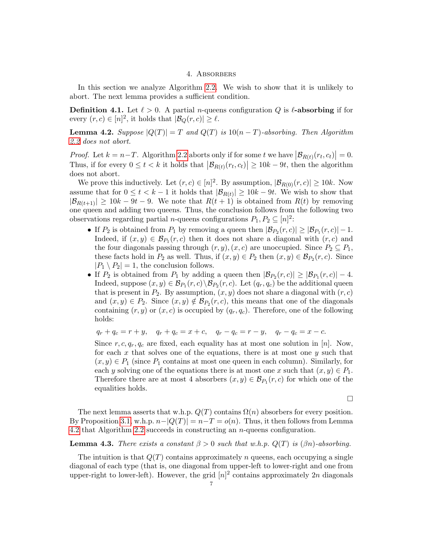# 4. Absorbers

<span id="page-6-0"></span>In this section we analyze Algorithm [2.2.](#page-2-2) We wish to show that it is unlikely to abort. The next lemma provides a sufficient condition.

**Definition 4.1.** Let  $\ell > 0$ . A partial *n*-queens configuration Q is  $\ell$ -absorbing if for every  $(r, c) \in [n]^2$ , it holds that  $|\mathcal{B}_Q(r, c)| \ge \ell$ .

<span id="page-6-1"></span>**Lemma 4.2.** Suppose  $|Q(T)| = T$  and  $Q(T)$  is  $10(n - T)$ -absorbing. Then Algorithm [2.2](#page-2-2) does not abort.

*Proof.* Let  $k = n - T$ . Algorithm [2.2](#page-2-2) aborts only if for some t we have  $|\mathcal{B}_{R(t)}(r_t, c_t)| = 0$ . Thus, if for every  $0 \le t < k$  it holds that  $|\mathcal{B}_{R(t)}(r_t, c_t)| \ge 10k - 9t$ , then the algorithm does not abort.

We prove this inductively. Let  $(r, c) \in [n]^2$ . By assumption,  $|\mathcal{B}_{R(0)}(r, c)| \ge 10k$ . Now assume that for  $0 \le t < k - 1$  it holds that  $|\mathcal{B}_{R(t)}| \ge 10k - 9t$ . We wish to show that  $|\mathcal{B}_{R(t+1)}| \geq 10k - 9t - 9$ . We note that  $R(t+1)$  is obtained from  $R(t)$  by removing one queen and adding two queens. Thus, the conclusion follows from the following two observations regarding partial *n*-queens configurations  $P_1, P_2 \subseteq [n]^2$ :

- If  $P_2$  is obtained from  $P_1$  by removing a queen then  $|\mathcal{B}_{P_2}(r,c)| \geq |\mathcal{B}_{P_1}(r,c)| 1$ . Indeed, if  $(x, y) \in \mathcal{B}_{P_1}(r, c)$  then it does not share a diagonal with  $(r, c)$  and the four diagonals passing through  $(r, y), (x, c)$  are unoccupied. Since  $P_2 \subseteq P_1$ , these facts hold in  $P_2$  as well. Thus, if  $(x, y) \in P_2$  then  $(x, y) \in \mathcal{B}_{P_2}(r, c)$ . Since  $|P_1 \setminus P_2| = 1$ , the conclusion follows.
- If  $P_2$  is obtained from  $P_1$  by adding a queen then  $|\mathcal{B}_{P_2}(r,c)| \geq |\mathcal{B}_{P_1}(r,c)| 4$ . Indeed, suppose  $(x, y) \in \mathcal{B}_{P_1}(r, c) \setminus \mathcal{B}_{P_2}(r, c)$ . Let  $(q_r, q_c)$  be the additional queen that is present in  $P_2$ . By assumption,  $(x, y)$  does not share a diagonal with  $(r, c)$ and  $(x, y) \in P_2$ . Since  $(x, y) \notin \mathcal{B}_{P_2}(r, c)$ , this means that one of the diagonals containing  $(r, y)$  or  $(x, c)$  is occupied by  $(q_r, q_c)$ . Therefore, one of the following holds:

$$
q_r + q_c = r + y, \quad q_r + q_c = x + c, \quad q_r - q_c = r - y, \quad q_r - q_c = x - c.
$$

Since r, c,  $q_r$ ,  $q_c$  are fixed, each equality has at most one solution in [n]. Now, for each  $x$  that solves one of the equations, there is at most one  $y$  such that  $(x, y) \in P_1$  (since  $P_1$  contains at most one queen in each column). Similarly, for each y solving one of the equations there is at most one x such that  $(x, y) \in P_1$ . Therefore there are at most 4 absorbers  $(x, y) \in \mathcal{B}_{P_1}(r, c)$  for which one of the equalities holds.

$$
\Box
$$

The next lemma asserts that w.h.p.  $Q(T)$  contains  $\Omega(n)$  absorbers for every position. By Proposition [3.1,](#page-3-1) w.h.p.  $n-|Q(T)| = n-T = o(n)$ . Thus, it then follows from Lemma [4.2](#page-6-1) that Algorithm [2.2](#page-2-2) succeeds in constructing an n-queens configuration.

<span id="page-6-2"></span>**Lemma 4.3.** There exists a constant  $\beta > 0$  such that w.h.p.  $Q(T)$  is  $(\beta n)$ -absorbing.

The intuition is that  $Q(T)$  contains approximately n queens, each occupying a single diagonal of each type (that is, one diagonal from upper-left to lower-right and one from upper-right to lower-left). However, the grid  $[n]^2$  contains approximately 2n diagonals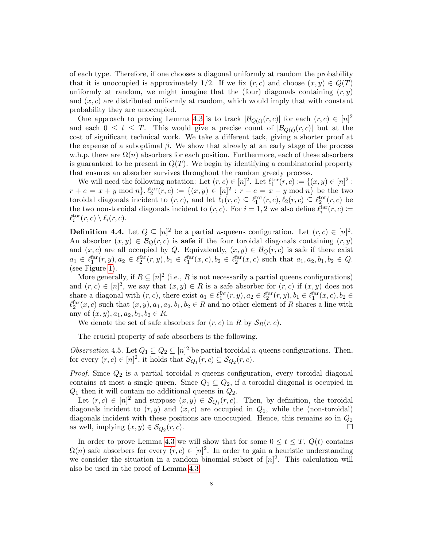of each type. Therefore, if one chooses a diagonal uniformly at random the probability that it is unoccupied is approximately 1/2. If we fix  $(r, c)$  and choose  $(x, y) \in Q(T)$ uniformly at random, we might imagine that the (four) diagonals containing  $(r, y)$ and  $(x, c)$  are distributed uniformly at random, which would imply that with constant probability they are unoccupied.

One approach to proving Lemma [4.3](#page-6-2) is to track  $|\mathcal{B}_{Q(t)}(r,c)|$  for each  $(r,c) \in [n]^2$ and each  $0 \leq t \leq T$ . This would give a precise count of  $|\mathcal{B}_{Q(t)}(r,c)|$  but at the cost of significant technical work. We take a different tack, giving a shorter proof at the expense of a suboptimal  $\beta$ . We show that already at an early stage of the process w.h.p. there are  $\Omega(n)$  absorbers for each position. Furthermore, each of these absorbers is guaranteed to be present in  $Q(T)$ . We begin by identifying a combinatorial property that ensures an absorber survives throughout the random greedy process.

We will need the following notation: Let  $(r, c) \in [n]^2$ . Let  $\ell_1^{\text{tor}}(r, c) := \{(x, y) \in [n]^2 :$  $r + c = x + y \mod n$ ,  $\ell_2^{\text{tor}}(r, c) := \{(x, y) \in [n]^2 : r - c = x - y \mod n\}$  be the two toroidal diagonals incident to  $(r, c)$ , and let  $\ell_1(r, c) \subseteq \ell_1^{\text{tor}}(r, c), \ell_2(r, c) \subseteq \ell_2^{\text{tor}}(r, c)$  be the two non-toroidal diagonals incident to  $(r, c)$ . For  $i = 1, 2$  we also define  $\ell_i^{\text{far}}(r, c) \coloneqq$  $\ell_i^{\text{tor}}(r, c) \setminus \ell_i(r, c).$ 

**Definition 4.4.** Let  $Q \subseteq [n]^2$  be a partial *n*-queens configuration. Let  $(r, c) \in [n]^2$ . An absorber  $(x, y) \in \mathcal{B}_Q(r, c)$  is **safe** if the four toroidal diagonals containing  $(r, y)$ and  $(x, c)$  are all occupied by Q. Equivalently,  $(x, y) \in \mathcal{B}_Q(r, c)$  is safe if there exist  $a_1 \in \ell_1^{\text{far}}(r, y), a_2 \in \ell_2^{\text{far}}(r, y), b_1 \in \ell_1^{\text{far}}(x, c), b_2 \in \ell_2^{\text{far}}(x, c)$  such that  $a_1, a_2, b_1, b_2 \in Q$ . (see Figure [1\)](#page-8-0).

More generally, if  $R \subseteq [n]^2$  (i.e., R is not necessarily a partial queens configurations) and  $(r, c) \in [n]^2$ , we say that  $(x, y) \in R$  is a safe absorber for  $(r, c)$  if  $(x, y)$  does not share a diagonal with  $(r, c)$ , there exist  $a_1 \in \ell_1^{\text{far}}(r, y), a_2 \in \ell_2^{\text{far}}(r, y), b_1 \in \ell_1^{\text{far}}(x, c), b_2 \in$  $\ell_2^{\text{far}}(x, c)$  such that  $(x, y), a_1, a_2, b_1, b_2 \in R$  and no other element of R shares a line with any of  $(x, y), a_1, a_2, b_1, b_2 \in R$ .

We denote the set of safe absorbers for  $(r, c)$  in R by  $S_R(r, c)$ .

The crucial property of safe absorbers is the following.

<span id="page-7-0"></span>Observation 4.5. Let  $Q_1 \subseteq Q_2 \subseteq [n]^2$  be partial toroidal *n*-queens configurations. Then, for every  $(r, c) \in [n]^2$ , it holds that  $\mathcal{S}_{Q_1}(r, c) \subseteq \mathcal{S}_{Q_2}(r, c)$ .

*Proof.* Since  $Q_2$  is a partial toroidal *n*-queens configuration, every toroidal diagonal contains at most a single queen. Since  $Q_1 \subseteq Q_2$ , if a toroidal diagonal is occupied in  $Q_1$  then it will contain no additional queens in  $Q_2$ .

Let  $(r, c) \in [n]^2$  and suppose  $(x, y) \in \mathcal{S}_{Q_1}(r, c)$ . Then, by definition, the toroidal diagonals incident to  $(r, y)$  and  $(x, c)$  are occupied in  $Q_1$ , while the (non-toroidal) diagonals incident with these positions are unoccupied. Hence, this remains so in  $Q_2$ as well, implying  $(x, y) \in \mathcal{S}_{Q_2}(r, c)$ .  $(r, c)$ .

In order to prove Lemma [4.3](#page-6-2) we will show that for some  $0 \leq t \leq T$ ,  $Q(t)$  contains  $\Omega(n)$  safe absorbers for every  $(r, c) \in [n]^2$ . In order to gain a heuristic understanding we consider the situation in a random binomial subset of  $[n]^2$ . This calculation will also be used in the proof of Lemma [4.3.](#page-6-2)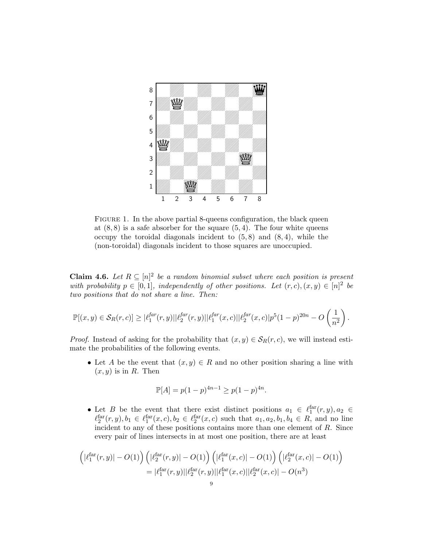

<span id="page-8-0"></span>FIGURE 1. In the above partial 8-queens configuration, the black queen at  $(8, 8)$  is a safe absorber for the square  $(5, 4)$ . The four white queens occupy the toroidal diagonals incident to  $(5, 8)$  and  $(8, 4)$ , while the (non-toroidal) diagonals incident to those squares are unoccupied.

<span id="page-8-1"></span>**Claim 4.6.** Let  $R \subseteq [n]^2$  be a random binomial subset where each position is present with probability  $p \in [0,1]$ , independently of other positions. Let  $(r, c), (x, y) \in [n]^2$  be two positions that do not share a line. Then:

$$
\mathbb{P}[(x,y)\in\mathcal{S}_R(r,c)] \geq |\ell_1^{far}(r,y)||\ell_2^{far}(r,y)||\ell_1^{far}(x,c)||\ell_2^{far}(x,c)|p^5(1-p)^{20n}-O\left(\frac{1}{n^2}\right).
$$

*Proof.* Instead of asking for the probability that  $(x, y) \in S_R(r, c)$ , we will instead estimate the probabilities of the following events.

• Let A be the event that  $(x, y) \in R$  and no other position sharing a line with  $(x, y)$  is in R. Then

$$
\mathbb{P}[A] = p(1-p)^{4n-1} \ge p(1-p)^{4n}.
$$

• Let B be the event that there exist distinct positions  $a_1 \in \ell_1^{\text{far}}(r, y), a_2 \in$  $\ell_2^{\text{far}}(r, y), b_1 \in \ell_1^{\text{far}}(x, c), b_2 \in \ell_2^{\text{far}}(x, c)$  such that  $a_1, a_2, b_1, b_4 \in R$ , and no line incident to any of these positions contains more than one element of R. Since every pair of lines intersects in at most one position, there are at least

$$
\left( |\ell_1^{\text{far}}(r, y)| - O(1) \right) \left( |\ell_2^{\text{far}}(r, y)| - O(1) \right) \left( |\ell_1^{\text{far}}(x, c)| - O(1) \right) \left( |\ell_2^{\text{far}}(x, c)| - O(1) \right)
$$
  
=  $|\ell_1^{\text{far}}(r, y)| |\ell_2^{\text{far}}(r, y)| |\ell_1^{\text{far}}(x, c)| |\ell_2^{\text{far}}(x, c)| - O(n^3)$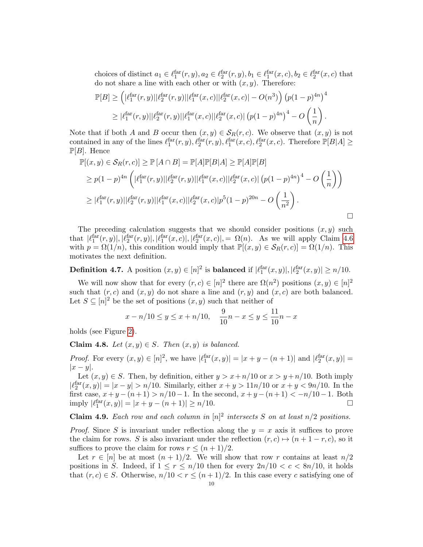choices of distinct  $a_1 \in \ell_1^{\text{far}}(r, y), a_2 \in \ell_2^{\text{far}}(r, y), b_1 \in \ell_1^{\text{far}}(x, c), b_2 \in \ell_2^{\text{far}}(x, c)$  that do not share a line with each other or with  $(x, y)$ . Therefore:

$$
\mathbb{P}[B] \ge \left( |\ell_1^{\text{far}}(r, y)| |\ell_2^{\text{far}}(r, y)| |\ell_1^{\text{far}}(x, c)| |\ell_2^{\text{far}}(x, c)| - O(n^3) \right) \left( p(1 - p)^{4n} \right)^4
$$
  
 
$$
\ge |\ell_1^{\text{far}}(r, y)| |\ell_2^{\text{far}}(r, y)| |\ell_1^{\text{far}}(x, c)| |\ell_2^{\text{far}}(x, c)| (p(1 - p)^{4n})^4 - O\left(\frac{1}{n}\right).
$$

Note that if both A and B occur then  $(x, y) \in S_R(r, c)$ . We observe that  $(x, y)$  is not contained in any of the lines  $\ell_1^{\text{far}}(r, y), \ell_2^{\text{far}}(r, y), \ell_1^{\text{far}}(x, c), \ell_2^{\text{far}}(x, c)$ . Therefore  $\mathbb{P}[B|A] \geq$  $\mathbb{P}[B]$ . Hence

$$
\mathbb{P}[(x,y) \in \mathcal{S}_R(r,c)] \ge \mathbb{P}[A \cap B] = \mathbb{P}[A]\mathbb{P}[B|A] \ge \mathbb{P}[A]\mathbb{P}[B]
$$
  
\n
$$
\ge p(1-p)^{4n} \left( |\ell_1^{\text{far}}(r,y)| |\ell_2^{\text{far}}(r,y)| |\ell_1^{\text{far}}(x,c)| |\ell_2^{\text{far}}(x,c)| (p(1-p)^{4n})^4 - O\left(\frac{1}{n}\right) \right)
$$
  
\n
$$
\ge |\ell_1^{\text{far}}(r,y)| |\ell_2^{\text{far}}(r,y)| |\ell_1^{\text{far}}(x,c)| |\ell_2^{\text{far}}(x,c)| p^5 (1-p)^{20n} - O\left(\frac{1}{n^2}\right).
$$

The preceding calculation suggests that we should consider positions  $(x, y)$  such that  $|\ell_1^{\text{far}}(r, y)|, |\ell_2^{\text{far}}(r, y)|, |\ell_1^{\text{far}}(x, c)|, |\ell_2^{\text{far}}(x, c)|, = \Omega(n)$ . As we will apply Claim [4.6](#page-8-1) with  $p = \Omega(1/n)$ , this condition would imply that  $\mathbb{P}[(x, y) \in \mathcal{S}_R(r, c)] = \Omega(1/n)$ . This motivates the next definition.

**Definition 4.7.** A position  $(x, y) \in [n]^2$  is **balanced** if  $|\ell_1^{\text{far}}(x, y)|, |\ell_2^{\text{far}}(x, y)| \ge n/10$ .

We will now show that for every  $(r, c) \in [n]^2$  there are  $\Omega(n^2)$  positions  $(x, y) \in [n]^2$ such that  $(r, c)$  and  $(x, y)$  do not share a line and  $(r, y)$  and  $(x, c)$  are both balanced. Let  $S \subseteq [n]^2$  be the set of positions  $(x, y)$  such that neither of

$$
x - n/10 \le y \le x + n/10
$$
,  $\frac{9}{10}n - x \le y \le \frac{11}{10}n - x$ 

holds (see Figure [2\)](#page-10-0).

Claim 4.8. Let  $(x, y) \in S$ . Then  $(x, y)$  is balanced.

*Proof.* For every  $(x, y) \in [n]^2$ , we have  $|\ell_1^{\text{far}}(x, y)| = |x + y - (n + 1)|$  and  $|\ell_2^{\text{far}}(x, y)| =$  $|x-y|$ .

Let  $(x, y) \in S$ . Then, by definition, either  $y > x + n/10$  or  $x > y + n/10$ . Both imply  $|l_2^{\text{far}}(x, y)| = |x - y| > n/10$ . Similarly, either  $x + y > 11n/10$  or  $x + y < 9n/10$ . In the first case,  $x+y-(n+1) > n/10-1$ . In the second,  $x+y-(n+1) < -n/10-1$ . Both imply  $|\ell_1^{\text{far}}(x, y)| = |x + y - (n + 1)| \ge n/10.$ 

<span id="page-9-0"></span>**Claim 4.9.** Each row and each column in  $[n]^2$  intersects S on at least  $n/2$  positions.

*Proof.* Since S is invariant under reflection along the  $y = x$  axis it suffices to prove the claim for rows. S is also invariant under the reflection  $(r, c) \mapsto (n + 1 - r, c)$ , so it suffices to prove the claim for rows  $r \leq (n+1)/2$ .

Let  $r \in [n]$  be at most  $(n+1)/2$ . We will show that row r contains at least  $n/2$ positions in S. Indeed, if  $1 \le r \le n/10$  then for every  $2n/10 < c < 8n/10$ , it holds that  $(r, c) \in S$ . Otherwise,  $n/10 < r \le (n+1)/2$ . In this case every c satisfying one of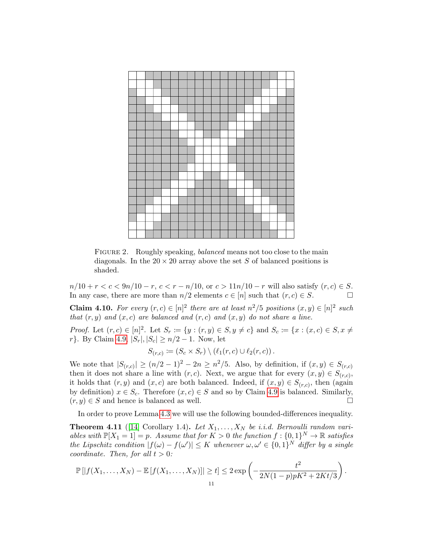

<span id="page-10-0"></span>FIGURE 2. Roughly speaking, *balanced* means not too close to the main diagonals. In the  $20 \times 20$  array above the set S of balanced positions is shaded.

 $n/10 + r < c < 9n/10 - r$ ,  $c < r - n/10$ , or  $c > 11n/10 - r$  will also satisfy  $(r, c) \in S$ . In any case, there are more than  $n/2$  elements  $c \in [n]$  such that  $(r, c) \in S$ .

<span id="page-10-2"></span>**Claim 4.10.** For every  $(r, c) \in [n]^2$  there are at least  $n^2/5$  positions  $(x, y) \in [n]^2$  such that  $(r, y)$  and  $(x, c)$  are balanced and  $(r, c)$  and  $(x, y)$  do not share a line.

*Proof.* Let  $(r, c) \in [n]^2$ . Let  $S_r := \{y : (r, y) \in S, y \neq c\}$  and  $S_c := \{x : (x, c) \in S, x \neq c\}$ r}. By Claim [4.9,](#page-9-0)  $|S_r|, |S_c| \ge n/2 - 1$ . Now, let

$$
S_{(r,c)} := (S_c \times S_r) \setminus (\ell_1(r,c) \cup \ell_2(r,c)).
$$

We note that  $|S_{(r,c)}| \ge (n/2-1)^2 - 2n \ge n^2/5$ . Also, by definition, if  $(x, y) \in S_{(r,c)}$ then it does not share a line with  $(r, c)$ . Next, we argue that for every  $(x, y) \in S_{(r,c)}$ , it holds that  $(r, y)$  and  $(x, c)$  are both balanced. Indeed, if  $(x, y) \in S_{(r,c)}$ , then (again by definition)  $x \in S_c$ . Therefore  $(x, c) \in S$  and so by Claim [4.9](#page-9-0) is balanced. Similarly,  $(r, y) \in S$  and hence is balanced as well.

In order to prove Lemma [4.3](#page-6-2) we will use the following bounded-differences inequality.

<span id="page-10-1"></span>**Theorem 4.11** ([\[14\]](#page-15-13) Corollary 1.4). Let  $X_1, \ldots, X_N$  be i.i.d. Bernoulli random variables with  $\mathbb{P}[X_1 = 1] = p$ . Assume that for  $K > 0$  the function  $f : \{0, 1\}^N \to \mathbb{R}$  satisfies the Lipschitz condition  $|f(\omega) - f(\omega')| \leq K$  whenever  $\omega, \omega' \in \{0,1\}^N$  differ by a single coordinate. Then, for all  $t > 0$ :

$$
\mathbb{P}[|f(X_1,\ldots,X_N)-\mathbb{E}[f(X_1,\ldots,X_N)]| \ge t] \le 2 \exp\left(-\frac{t^2}{2N(1-p)pK^2+2Kt/3}\right).
$$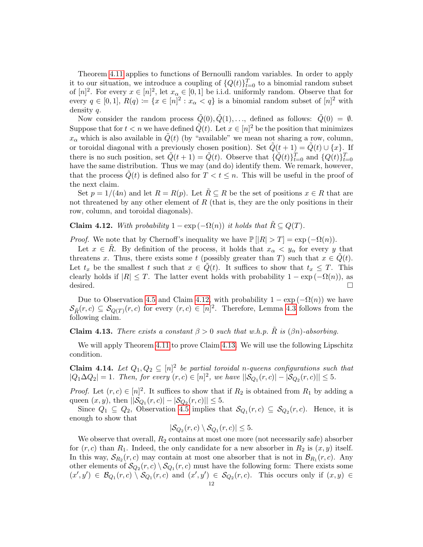Theorem [4.11](#page-10-1) applies to functions of Bernoulli random variables. In order to apply it to our situation, we introduce a coupling of  $\{Q(t)\}_{t=0}^T$  to a binomial random subset of  $[n]^2$ . For every  $x \in [n]^2$ , let  $x_\alpha \in [0,1]$  be i.i.d. uniformly random. Observe that for every  $q \in [0,1], R(q) := \{x \in [n]^2 : x_\alpha < q\}$  is a binomial random subset of  $[n]^2$  with density q.

Now consider the random process  $\tilde{Q}(0), \tilde{Q}(1), \ldots$ , defined as follows:  $\tilde{Q}(0) = \emptyset$ . Suppose that for  $t < n$  we have defined  $\tilde{Q}(t)$ . Let  $x \in [n]^2$  be the position that minimizes  $x_{\alpha}$  which is also available in  $\tilde{Q}(t)$  (by "available" we mean not sharing a row, column, or toroidal diagonal with a previously chosen position). Set  $\tilde{Q}(t + 1) = \tilde{Q}(t) \cup \{x\}$ . If there is no such position, set  $\tilde{Q}(t+1) = \tilde{Q}(t)$ . Observe that  $\{\tilde{Q}(t)\}_{t=0}^T$  and  $\{Q(t)\}_{t=0}^T$ have the same distribution. Thus we may (and do) identify them. We remark, however, that the process  $\tilde{Q}(t)$  is defined also for  $T < t \leq n$ . This will be useful in the proof of the next claim.

Set  $p = 1/(4n)$  and let  $R = R(p)$ . Let  $\tilde{R} \subseteq R$  be the set of positions  $x \in R$  that are not threatened by any other element of  $R$  (that is, they are the only positions in their row, column, and toroidal diagonals).

<span id="page-11-0"></span>**Claim 4.12.** With probability  $1 - \exp(-\Omega(n))$  it holds that  $\tilde{R} \subseteq Q(T)$ .

*Proof.* We note that by Chernoff's inequality we have  $\mathbb{P} [|R| > T] = \exp(-\Omega(n)).$ 

Let  $x \in R$ . By definition of the process, it holds that  $x_{\alpha} < y_{\alpha}$  for every y that threatens x. Thus, there exists some t (possibly greater than T) such that  $x \in \tilde{Q}(t)$ . Let  $t_x$  be the smallest t such that  $x \in Q(t)$ . It suffices to show that  $t_x \leq T$ . This clearly holds if  $|R| \leq T$ . The latter event holds with probability  $1 - \exp(-\Omega(n))$ , as desired.

Due to Observation [4.5](#page-7-0) and Claim [4.12,](#page-11-0) with probability  $1 - \exp(-\Omega(n))$  we have  $\mathcal{S}_{\tilde{R}}(r,c) \subseteq \mathcal{S}_{Q(T)}(r,c)$  for every  $(r,c) \in [n]^2$ . Therefore, Lemma [4.3](#page-6-2) follows from the following claim.

<span id="page-11-1"></span>**Claim 4.13.** There exists a constant  $\beta > 0$  such that w.h.p. R is  $(\beta n)$ -absorbing.

We will apply Theorem [4.11](#page-10-1) to prove Claim [4.13.](#page-11-1) We will use the following Lipschitz condition.

<span id="page-11-2"></span>**Claim 4.14.** Let  $Q_1, Q_2 \subseteq [n]^2$  be partial toroidal n-queens configurations such that  $|Q_1\Delta Q_2| = 1$ . Then, for every  $(r, c) \in [n]^2$ , we have  $||S_{Q_1}(r, c)| - |S_{Q_2}(r, c)|| \le 5$ .

*Proof.* Let  $(r, c) \in [n]^2$ . It suffices to show that if  $R_2$  is obtained from  $R_1$  by adding a queen  $(x, y)$ , then  $||S_{Q_1}(r, c)| - |S_{Q_2}(r, c)|| \le 5$ .

Since  $Q_1 \subseteq Q_2$ , Observation [4.5](#page-7-0) implies that  $\mathcal{S}_{Q_1}(r,c) \subseteq \mathcal{S}_{Q_2}(r,c)$ . Hence, it is enough to show that

$$
|\mathcal{S}_{Q_2}(r,c) \setminus \mathcal{S}_{Q_1}(r,c)| \le 5.
$$

We observe that overall,  $R_2$  contains at most one more (not necessarily safe) absorber for  $(r, c)$  than  $R_1$ . Indeed, the only candidate for a new absorber in  $R_2$  is  $(x, y)$  itself. In this way,  $S_{R_2}(r, c)$  may contain at most one absorber that is not in  $\mathcal{B}_{R_1}(r, c)$ . Any other elements of  $\mathcal{S}_{Q_2}(r,c) \setminus \mathcal{S}_{Q_1}(r,c)$  must have the following form: There exists some  $(x', y') \in \mathcal{B}_{Q_1}(r, c) \setminus \mathcal{S}_{Q_1}(r, c)$  and  $(x', y') \in \mathcal{S}_{Q_2}(r, c)$ . This occurs only if  $(x, y) \in$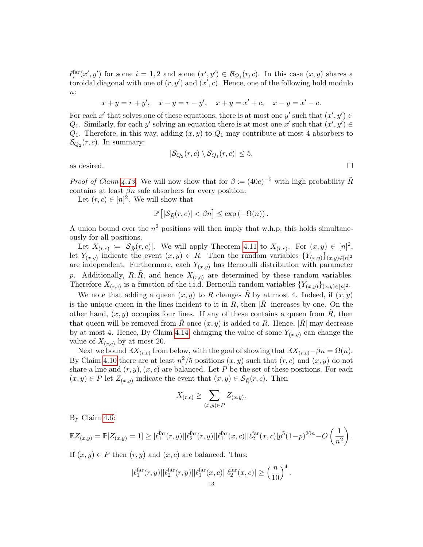$\ell_i^{\text{far}}(x', y')$  for some  $i = 1, 2$  and some  $(x', y') \in \mathcal{B}_{Q_1}(r, c)$ . In this case  $(x, y)$  shares a toroidal diagonal with one of  $(r, y')$  and  $(x', c)$ . Hence, one of the following hold modulo  $n$ :

$$
x + y = r + y'
$$
,  $x - y = r - y'$ ,  $x + y = x' + c$ ,  $x - y = x' - c$ .

For each x' that solves one of these equations, there is at most one y' such that  $(x', y') \in$  $Q_1$ . Similarly, for each y' solving an equation there is at most one x' such that  $(x', y') \in$  $Q_1$ . Therefore, in this way, adding  $(x, y)$  to  $Q_1$  may contribute at most 4 absorbers to  $\mathcal{S}_{Q_2}(r, c)$ . In summary:

$$
|\mathcal{S}_{Q_2}(r,c) \setminus \mathcal{S}_{Q_1}(r,c)| \le 5,
$$

as desired.  $\Box$ 

*Proof of Claim [4.13.](#page-11-1)* We will now show that for  $\beta := (40e)^{-5}$  with high probability  $\tilde{R}$ contains at least  $\beta n$  safe absorbers for every position.

Let  $(r, c) \in [n]^2$ . We will show that

$$
\mathbb{P}\left[|\mathcal{S}_{\tilde{R}}(r,c)| < \beta n\right] \leq \exp\left(-\Omega(n)\right).
$$

A union bound over the  $n^2$  positions will then imply that w.h.p. this holds simultaneously for all positions.

Let  $X_{(r,c)} := |\mathcal{S}_{R}(r, c)|$ . We will apply Theorem [4.11](#page-10-1) to  $X_{(r,c)}$ . For  $(x, y) \in [n]^2$ , let  $Y_{(x,y)}$  indicate the event  $(x,y) \in R$ . Then the random variables  $\{Y_{(x,y)}\}_{(x,y)\in[n]^2}$ are independent. Furthermore, each  $Y_{(x,y)}$  has Bernoulli distribution with parameter p. Additionally, R, R, and hence  $X_{(r,c)}$  are determined by these random variables. Therefore  $X_{(r,c)}$  is a function of the i.i.d. Bernoulli random variables  $\{Y_{(x,y)}\}_{(x,y)\in[n]^2}$ .

We note that adding a queen  $(x, y)$  to R changes R by at most 4. Indeed, if  $(x, y)$ is the unique queen in the lines incident to it in R, then  $|\tilde{R}|$  increases by one. On the other hand,  $(x, y)$  occupies four lines. If any of these contains a queen from R, then that queen will be removed from  $\tilde{R}$  once  $(x, y)$  is added to R. Hence,  $|\tilde{R}|$  may decrease by at most 4. Hence, By Claim [4.14,](#page-11-2) changing the value of some  $Y_{(x,y)}$  can change the value of  $X_{(r,c)}$  by at most 20.

Next we bound  $\mathbb{E} X_{(r,c)}$  from below, with the goal of showing that  $\mathbb{E} X_{(r,c)} - \beta n = \Omega(n)$ . By Claim [4.10](#page-10-2) there are at least  $n^2/5$  positions  $(x, y)$  such that  $(r, c)$  and  $(x, y)$  do not share a line and  $(r, y), (x, c)$  are balanced. Let P be the set of these positions. For each  $(x, y) \in P$  let  $Z_{(x,y)}$  indicate the event that  $(x, y) \in S_{\tilde{R}}(r, c)$ . Then

$$
X_{(r,c)} \ge \sum_{(x,y)\in P} Z_{(x,y)}.
$$

By Claim [4.6:](#page-8-1)

$$
\mathbb{E}Z_{(x,y)} = \mathbb{P}[Z_{(x,y)} = 1] \geq |\ell_1^{\text{far}}(r,y)||\ell_2^{\text{far}}(r,y)||\ell_1^{\text{far}}(x,c)||\ell_2^{\text{far}}(x,c)|p^5(1-p)^{20n} - O\left(\frac{1}{n^2}\right).
$$

If  $(x, y) \in P$  then  $(r, y)$  and  $(x, c)$  are balanced. Thus:

$$
|\ell_1^{\text{far}}(r,y)||\ell_2^{\text{far}}(r,y)||\ell_1^{\text{far}}(x,c)||\ell_2^{\text{far}}(x,c)| \geq \left(\frac{n}{10}\right)^4.
$$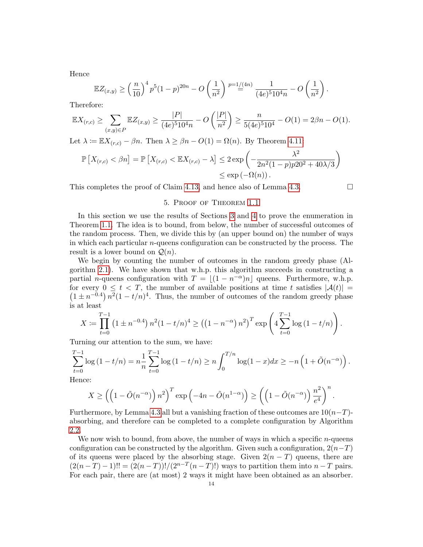Hence

$$
\mathbb{E}Z_{(x,y)} \ge \left(\frac{n}{10}\right)^4 p^5 (1-p)^{20n} - O\left(\frac{1}{n^2}\right) \stackrel{p=1/(4n)}{=} \frac{1}{(4e)^5 10^4 n} - O\left(\frac{1}{n^2}\right).
$$

Therefore:

$$
\mathbb{E}X_{(r,c)} \ge \sum_{(x,y)\in P} \mathbb{E}Z_{(x,y)} \ge \frac{|P|}{(4e)^5 10^4 n} - O\left(\frac{|P|}{n^2}\right) \ge \frac{n}{5(4e)^5 10^4} - O(1) = 2\beta n - O(1).
$$

Let  $\lambda := \mathbb{E}X_{(r,c)} - \beta n$ . Then  $\lambda \geq \beta n - O(1) = \Omega(n)$ . By Theorem [4.11:](#page-10-1)

$$
\mathbb{P}\left[X_{(r,c)} < \beta n\right] = \mathbb{P}\left[X_{(r,c)} < \mathbb{E}X_{(r,c)} - \lambda\right] \le 2 \exp\left(-\frac{\lambda^2}{2n^2(1-p)p20^2 + 40\lambda/3}\right) \le \exp\left(-\Omega(n)\right).
$$

This completes the proof of Claim [4.13,](#page-11-1) and hence also of Lemma [4.3.](#page-6-2)  $\Box$ 

## 5. Proof of Theorem [1.1](#page-0-0)

In this section we use the results of Sections [3](#page-3-0) and [4](#page-6-0) to prove the enumeration in Theorem [1.1.](#page-0-0) The idea is to bound, from below, the number of successful outcomes of the random process. Then, we divide this by (an upper bound on) the number of ways in which each particular n-queens configuration can be constructed by the process. The result is a lower bound on  $\mathcal{Q}(n)$ .

We begin by counting the number of outcomes in the random greedy phase (Algorithm [2.1\)](#page-2-1). We have shown that w.h.p. this algorithm succeeds in constructing a partial *n*-queens configuration with  $T = |(1 - n^{-\alpha})n|$  queens. Furthermore, w.h.p.  $(1 \pm n^{-0.4}) n^2 (1 - t/n)^4$ . Thus, the number of outcomes of the random greedy phase for every  $0 \le t < T$ , the number of available positions at time t satisfies  $|\mathcal{A}(t)| =$ is at least

$$
X := \prod_{t=0}^{T-1} \left(1 \pm n^{-0.4}\right) n^2 (1 - t/n)^4 \ge \left(\left(1 - n^{-\alpha}\right) n^2\right)^T \exp\left(4 \sum_{t=0}^{T-1} \log\left(1 - t/n\right)\right).
$$

Turning our attention to the sum, we have:

$$
\sum_{t=0}^{T-1} \log (1 - t/n) = n \frac{1}{n} \sum_{t=0}^{T-1} \log (1 - t/n) \ge n \int_0^{T/n} \log (1 - x) dx \ge -n \left( 1 + \tilde{O}(n^{-\alpha}) \right).
$$
  
Hence:

Hence:

$$
X \ge \left( \left( 1 - \tilde{O}(n^{-\alpha}) \right) n^2 \right)^T \exp \left( -4n - \tilde{O}(n^{1-\alpha}) \right) \ge \left( \left( 1 - \tilde{O}(n^{-\alpha}) \right) \frac{n^2}{e^4} \right)^n.
$$

Furthermore, by Lemma [4.3](#page-6-2) all but a vanishing fraction of these outcomes are  $10(n-T)$ absorbing, and therefore can be completed to a complete configuration by Algorithm [2.2.](#page-2-2)

We now wish to bound, from above, the number of ways in which a specific  $n$ -queens configuration can be constructed by the algorithm. Given such a configuration,  $2(n-T)$ of its queens were placed by the absorbing stage. Given  $2(n - T)$  queens, there are  $(2(n-T)-1)!! = (2(n-T))!/(2^{n-T}(n-T)!)$  ways to partition them into  $n-T$  pairs. For each pair, there are (at most) 2 ways it might have been obtained as an absorber.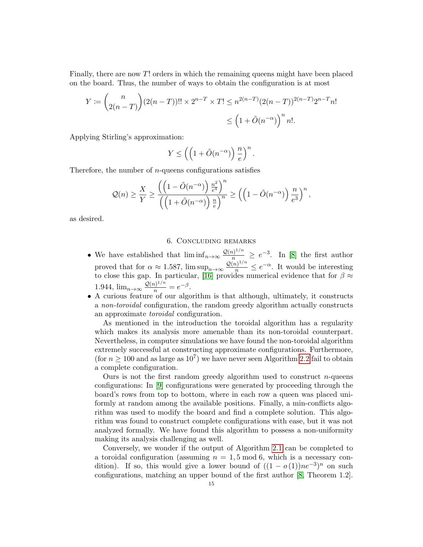Finally, there are now T! orders in which the remaining queens might have been placed on the board. Thus, the number of ways to obtain the configuration is at most

$$
Y := \binom{n}{2(n-T)} (2(n-T))!! \times 2^{n-T} \times T! \le n^{2(n-T)} (2(n-T))^{2(n-T)} 2^{n-T} n!
$$
  

$$
\le \left(1 + \tilde{O}(n^{-\alpha})\right)^n n!.
$$

Applying Stirling's approximation:

$$
Y \le \left( \left( 1 + \tilde{O}(n^{-\alpha}) \right) \frac{n}{e} \right)^n.
$$

Therefore, the number of  $n$ -queens configurations satisfies

$$
\mathcal{Q}(n) \geq \frac{X}{Y} \geq \frac{\left(\left(1 - \tilde{O}(n^{-\alpha})\right)\frac{n^2}{e^4}\right)^n}{\left(\left(1 + \tilde{O}(n^{-\alpha})\right)\frac{n}{e}\right)^n} \geq \left(\left(1 - \tilde{O}(n^{-\alpha})\right)\frac{n}{e^3}\right)^n,
$$

as desired.

## 6. Concluding remarks

- We have established that  $\liminf_{n\to\infty} \frac{\mathcal{Q}(n)^{1/n}}{n} \geq e^{-3}$ . In [\[8\]](#page-15-1) the first author proved that for  $\alpha \approx 1.587$ ,  $\limsup_{n\to\infty} \frac{\mathcal{Q}(n)^{1/n}}{n} \leq e^{-\alpha}$ . It would be interesting to close this gap. In particular, [\[16\]](#page-15-14) provides numerical evidence that for  $\beta \approx$ 1.944,  $\lim_{n \to \infty} \frac{\mathcal{Q}(n)^{1/n}}{n} = e^{-\beta}$ .
- A curious feature of our algorithm is that although, ultimately, it constructs a non-toroidal configuration, the random greedy algorithm actually constructs an approximate toroidal configuration.

As mentioned in the introduction the toroidal algorithm has a regularity which makes its analysis more amenable than its non-toroidal counterpart. Nevertheless, in computer simulations we have found the non-toroidal algorithm extremely successful at constructing approximate configurations. Furthermore, (for  $n \geq 100$  and as large as  $10^7$ ) we have never seen Algorithm [2.2](#page-2-2) fail to obtain a complete configuration.

Ours is not the first random greedy algorithm used to construct  $n$ -queens configurations: In [\[9\]](#page-15-15) configurations were generated by proceeding through the board's rows from top to bottom, where in each row a queen was placed uniformly at random among the available positions. Finally, a min-conflicts algorithm was used to modify the board and find a complete solution. This algorithm was found to construct complete configurations with ease, but it was not analyzed formally. We have found this algorithm to possess a non-uniformity making its analysis challenging as well.

Conversely, we wonder if the output of Algorithm [2.1](#page-2-1) can be completed to a toroidal configuration (assuming  $n = 1, 5 \text{ mod } 6$ , which is a necessary condition). If so, this would give a lower bound of  $((1 - o(1))ne^{-3})^n$  on such configurations, matching an upper bound of the first author [\[8,](#page-15-1) Theorem 1.2].